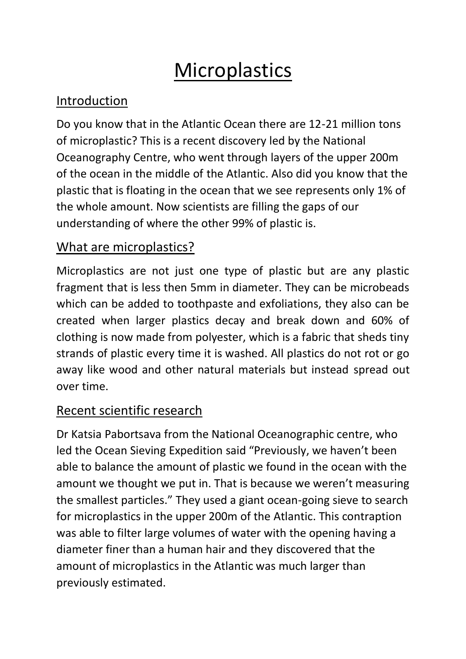# **Microplastics**

# Introduction

Do you know that in the Atlantic Ocean there are 12-21 million tons of microplastic? This is a recent discovery led by the National Oceanography Centre, who went through layers of the upper 200m of the ocean in the middle of the Atlantic. Also did you know that the plastic that is floating in the ocean that we see represents only 1% of the whole amount. Now scientists are filling the gaps of our understanding of where the other 99% of plastic is.

## What are microplastics?

Microplastics are not just one type of plastic but are any plastic fragment that is less then 5mm in diameter. They can be microbeads which can be added to toothpaste and exfoliations, they also can be created when larger plastics decay and break down and 60% of clothing is now made from polyester, which is a fabric that sheds tiny strands of plastic every time it is washed. All plastics do not rot or go away like wood and other natural materials but instead spread out over time.

# Recent scientific research

Dr Katsia Pabortsava from the National Oceanographic centre, who led the Ocean Sieving Expedition said "Previously, we haven't been able to balance the amount of plastic we found in the ocean with the amount we thought we put in. That is because we weren't measuring the smallest particles." They used a giant ocean-going sieve to search for microplastics in the upper 200m of the Atlantic. This contraption was able to filter large volumes of water with the opening having a diameter finer than a human hair and they discovered that the amount of microplastics in the Atlantic was much larger than previously estimated.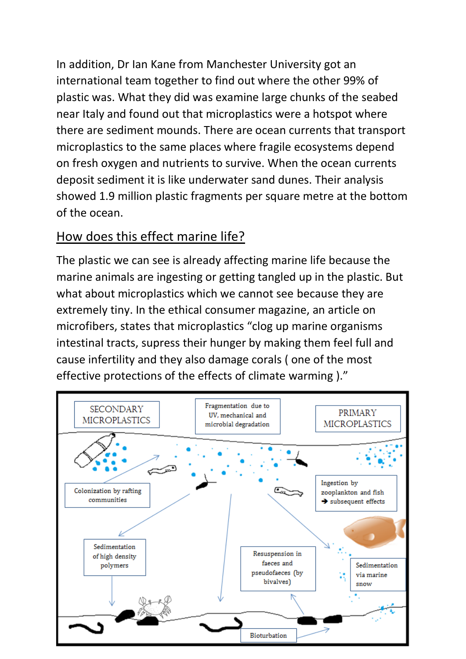In addition, Dr Ian Kane from Manchester University got an international team together to find out where the other 99% of plastic was. What they did was examine large chunks of the seabed near Italy and found out that microplastics were a hotspot where there are sediment mounds. There are ocean currents that transport microplastics to the same places where fragile ecosystems depend on fresh oxygen and nutrients to survive. When the ocean currents deposit sediment it is like underwater sand dunes. Their analysis showed 1.9 million plastic fragments per square metre at the bottom of the ocean.

#### How does this effect marine life?

The plastic we can see is already affecting marine life because the marine animals are ingesting or getting tangled up in the plastic. But what about microplastics which we cannot see because they are extremely tiny. In the ethical consumer magazine, an article on microfibers, states that microplastics "clog up marine organisms intestinal tracts, supress their hunger by making them feel full and cause infertility and they also damage corals ( one of the most effective protections of the effects of climate warming )."